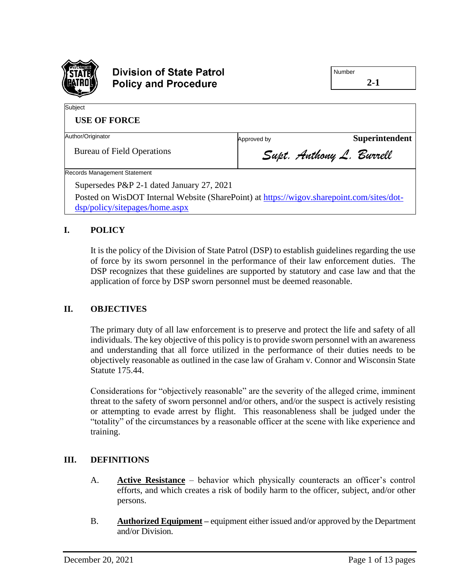

# **Division of State Patrol Policy and Procedure**

**2-1**

| Subject                                                                                                                     |                          |                |
|-----------------------------------------------------------------------------------------------------------------------------|--------------------------|----------------|
| <b>USE OF FORCE</b>                                                                                                         |                          |                |
| Author/Originator                                                                                                           | Approved by              | Superintendent |
| <b>Bureau of Field Operations</b>                                                                                           | Supt. Anthony L. Burrell |                |
| <b>Records Management Statement</b>                                                                                         |                          |                |
| Supersedes P&P 2-1 dated January 27, 2021                                                                                   |                          |                |
| Posted on WisDOT Internal Website (SharePoint) at https://wigov.sharepoint.com/sites/dot-<br>dsp/policy/sitepages/home.aspx |                          |                |

## **I. POLICY**

It is the policy of the Division of State Patrol (DSP) to establish guidelines regarding the use of force by its sworn personnel in the performance of their law enforcement duties. The DSP recognizes that these guidelines are supported by statutory and case law and that the application of force by DSP sworn personnel must be deemed reasonable.

## **II. OBJECTIVES**

The primary duty of all law enforcement is to preserve and protect the life and safety of all individuals. The key objective of this policy is to provide sworn personnel with an awareness and understanding that all force utilized in the performance of their duties needs to be objectively reasonable as outlined in the case law of Graham v. Connor and Wisconsin State Statute 175.44.

Considerations for "objectively reasonable" are the severity of the alleged crime, imminent threat to the safety of sworn personnel and/or others, and/or the suspect is actively resisting or attempting to evade arrest by flight. This reasonableness shall be judged under the "totality" of the circumstances by a reasonable officer at the scene with like experience and training.

## **III. DEFINITIONS**

- A. **Active Resistance** behavior which physically counteracts an officer's control efforts, and which creates a risk of bodily harm to the officer, subject, and/or other persons.
- B. **Authorized Equipment –** equipment either issued and/or approved by the Department and/or Division.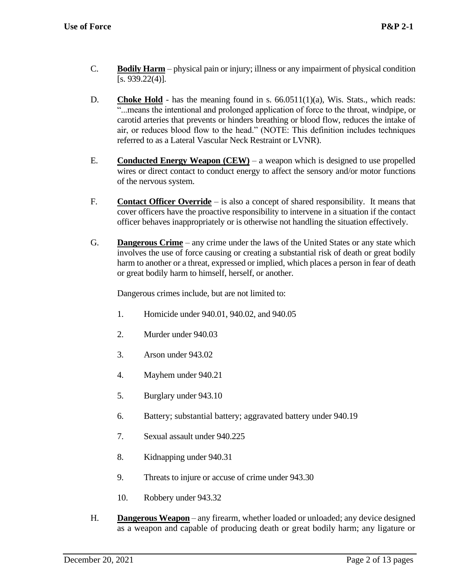- C. **Bodily Harm** physical pain or injury; illness or any impairment of physical condition  $[s. 939.22(4)].$
- **D. Choke Hold** has the meaning found in s.  $66.0511(1)(a)$ , Wis. Stats., which reads: "...means the intentional and prolonged application of force to the throat, windpipe, or carotid arteries that prevents or hinders breathing or blood flow, reduces the intake of air, or reduces blood flow to the head." (NOTE: This definition includes techniques referred to as a Lateral Vascular Neck Restraint or LVNR).
- E. **Conducted Energy Weapon (CEW)** a weapon which is designed to use propelled wires or direct contact to conduct energy to affect the sensory and/or motor functions of the nervous system.
- F. **Contact Officer Override** is also a concept of shared responsibility. It means that cover officers have the proactive responsibility to intervene in a situation if the contact officer behaves inappropriately or is otherwise not handling the situation effectively.
- G. **Dangerous Crime** any crime under the laws of the United States or any state which involves the use of force causing or creating a substantial risk of death or great bodily harm to another or a threat, expressed or implied, which places a person in fear of death or great bodily harm to himself, herself, or another.

Dangerous crimes include, but are not limited to:

- 1. Homicide under 940.01, 940.02, and 940.05
- 2. Murder under 940.03
- 3. Arson under 943.02
- 4. Mayhem under 940.21
- 5. Burglary under 943.10
- 6. Battery; substantial battery; aggravated battery under 940.19
- 7. Sexual assault under 940.225
- 8. Kidnapping under 940.31
- 9. Threats to injure or accuse of crime under 943.30
- 10. Robbery under 943.32
- H. **Dangerous Weapon** any firearm, whether loaded or unloaded; any device designed as a weapon and capable of producing death or great bodily harm; any ligature or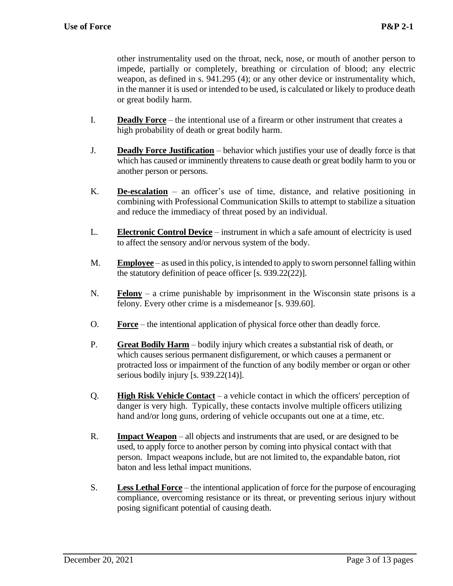other instrumentality used on the throat, neck, nose, or mouth of another person to impede, partially or completely, breathing or circulation of blood; any electric weapon, as defined in s. 941.295 (4); or any other device or instrumentality which, in the manner it is used or intended to be used, is calculated or likely to produce death or great bodily harm.

- I. **Deadly Force** the intentional use of a firearm or other instrument that creates a high probability of death or great bodily harm.
- J. **Deadly Force Justification** behavior which justifies your use of deadly force is that which has caused or imminently threatens to cause death or great bodily harm to you or another person or persons.
- K. **De-escalation** an officer's use of time, distance, and relative positioning in combining with Professional Communication Skills to attempt to stabilize a situation and reduce the immediacy of threat posed by an individual.
- L. **Electronic Control Device** instrument in which a safe amount of electricity is used to affect the sensory and/or nervous system of the body.
- M. **Employee** as used in this policy, is intended to apply to sworn personnel falling within the statutory definition of peace officer [s. 939.22(22)].
- N. **Felony** a crime punishable by imprisonment in the Wisconsin state prisons is a felony. Every other crime is a misdemeanor [s. 939.60].
- O. **Force** the intentional application of physical force other than deadly force.
- P. **Great Bodily Harm** bodily injury which creates a substantial risk of death, or which causes serious permanent disfigurement, or which causes a permanent or protracted loss or impairment of the function of any bodily member or organ or other serious bodily injury [s. 939.22(14)].
- Q. **High Risk Vehicle Contact** a vehicle contact in which the officers' perception of danger is very high. Typically, these contacts involve multiple officers utilizing hand and/or long guns, ordering of vehicle occupants out one at a time, etc.
- R. **Impact Weapon** all objects and instruments that are used, or are designed to be used, to apply force to another person by coming into physical contact with that person. Impact weapons include, but are not limited to, the expandable baton, riot baton and less lethal impact munitions.
- S. **Less Lethal Force** the intentional application of force for the purpose of encouraging compliance, overcoming resistance or its threat, or preventing serious injury without posing significant potential of causing death.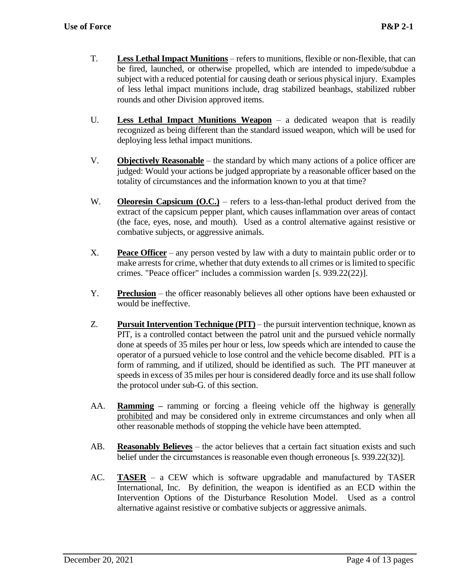- T. **Less Lethal Impact Munitions** refers to munitions, flexible or non-flexible, that can be fired, launched, or otherwise propelled, which are intended to impede/subdue a subject with a reduced potential for causing death or serious physical injury. Examples of less lethal impact munitions include, drag stabilized beanbags, stabilized rubber rounds and other Division approved items.
- U. **Less Lethal Impact Munitions Weapon** a dedicated weapon that is readily recognized as being different than the standard issued weapon, which will be used for deploying less lethal impact munitions.
- V. **Objectively Reasonable** the standard by which many actions of a police officer are judged: Would your actions be judged appropriate by a reasonable officer based on the totality of circumstances and the information known to you at that time?
- W. **Oleoresin Capsicum (O.C.)** refers to a less-than-lethal product derived from the extract of the capsicum pepper plant, which causes inflammation over areas of contact (the face, eyes, nose, and mouth). Used as a control alternative against resistive or combative subjects, or aggressive animals.
- X. **Peace Officer** any person vested by law with a duty to maintain public order or to make arrests for crime, whether that duty extends to all crimes or is limited to specific crimes. "Peace officer" includes a commission warden [s. 939.22(22)].
- Y. **Preclusion** the officer reasonably believes all other options have been exhausted or would be ineffective.
- Z. **Pursuit Intervention Technique (PIT)** the pursuit intervention technique, known as PIT, is a controlled contact between the patrol unit and the pursued vehicle normally done at speeds of 35 miles per hour or less, low speeds which are intended to cause the operator of a pursued vehicle to lose control and the vehicle become disabled. PIT is a form of ramming, and if utilized, should be identified as such. The PIT maneuver at speeds in excess of 35 miles per hour is considered deadly force and its use shall follow the protocol under sub-G. of this section.
- AA. **Ramming –** ramming or forcing a fleeing vehicle off the highway is generally prohibited and may be considered only in extreme circumstances and only when all other reasonable methods of stopping the vehicle have been attempted.
- AB. **Reasonably Believes** the actor believes that a certain fact situation exists and such belief under the circumstances is reasonable even though erroneous [s. 939.22(32)].
- AC. **TASER** a CEW which is software upgradable and manufactured by TASER International, Inc. By definition, the weapon is identified as an ECD within the Intervention Options of the Disturbance Resolution Model. Used as a control alternative against resistive or combative subjects or aggressive animals.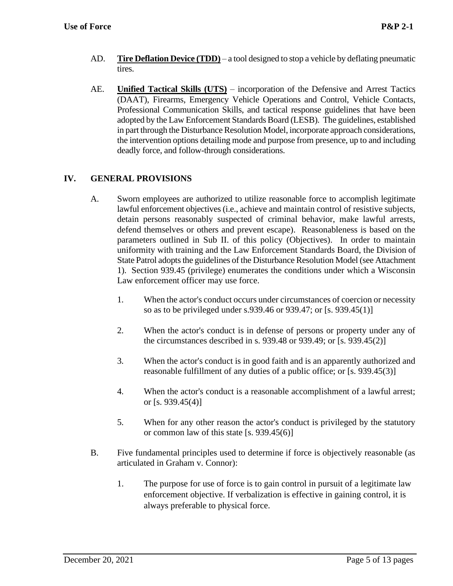- AD. **Tire Deflation Device (TDD)** a tool designed to stop a vehicle by deflating pneumatic tires.
- AE. **Unified Tactical Skills (UTS)** incorporation of the Defensive and Arrest Tactics (DAAT), Firearms, Emergency Vehicle Operations and Control, Vehicle Contacts, Professional Communication Skills, and tactical response guidelines that have been adopted by the Law Enforcement Standards Board (LESB). The guidelines, established in part through the Disturbance Resolution Model, incorporate approach considerations, the intervention options detailing mode and purpose from presence, up to and including deadly force, and follow-through considerations.

## **IV. GENERAL PROVISIONS**

- A. Sworn employees are authorized to utilize reasonable force to accomplish legitimate lawful enforcement objectives (i.e., achieve and maintain control of resistive subjects, detain persons reasonably suspected of criminal behavior, make lawful arrests, defend themselves or others and prevent escape). Reasonableness is based on the parameters outlined in Sub II. of this policy (Objectives). In order to maintain uniformity with training and the Law Enforcement Standards Board, the Division of State Patrol adopts the guidelines of the Disturbance Resolution Model (see Attachment 1). Section 939.45 (privilege) enumerates the conditions under which a Wisconsin Law enforcement officer may use force.
	- 1. When the actor's conduct occurs under circumstances of coercion or necessity so as to be privileged under s.939.46 or 939.47; or [s. 939.45(1)]
	- 2. When the actor's conduct is in defense of persons or property under any of the circumstances described in s. 939.48 or 939.49; or [s. 939.45(2)]
	- 3. When the actor's conduct is in good faith and is an apparently authorized and reasonable fulfillment of any duties of a public office; or [s. 939.45(3)]
	- 4. When the actor's conduct is a reasonable accomplishment of a lawful arrest; or [s. 939.45(4)]
	- 5. When for any other reason the actor's conduct is privileged by the statutory or common law of this state [s. 939.45(6)]
- B. Five fundamental principles used to determine if force is objectively reasonable (as articulated in Graham v. Connor):
	- 1. The purpose for use of force is to gain control in pursuit of a legitimate law enforcement objective. If verbalization is effective in gaining control, it is always preferable to physical force.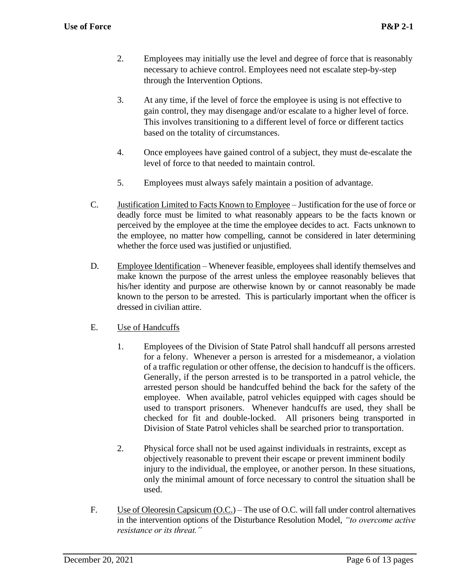- 2. Employees may initially use the level and degree of force that is reasonably necessary to achieve control. Employees need not escalate step-by-step through the Intervention Options.
- 3. At any time, if the level of force the employee is using is not effective to gain control, they may disengage and/or escalate to a higher level of force. This involves transitioning to a different level of force or different tactics based on the totality of circumstances.
- 4. Once employees have gained control of a subject, they must de-escalate the level of force to that needed to maintain control.
- 5. Employees must always safely maintain a position of advantage.
- C. Justification Limited to Facts Known to Employee Justification for the use of force or deadly force must be limited to what reasonably appears to be the facts known or perceived by the employee at the time the employee decides to act. Facts unknown to the employee, no matter how compelling, cannot be considered in later determining whether the force used was justified or unjustified.
- D. Employee Identification Whenever feasible, employees shall identify themselves and make known the purpose of the arrest unless the employee reasonably believes that his/her identity and purpose are otherwise known by or cannot reasonably be made known to the person to be arrested. This is particularly important when the officer is dressed in civilian attire.

## E. Use of Handcuffs

- 1. Employees of the Division of State Patrol shall handcuff all persons arrested for a felony. Whenever a person is arrested for a misdemeanor, a violation of a traffic regulation or other offense, the decision to handcuff is the officers. Generally, if the person arrested is to be transported in a patrol vehicle, the arrested person should be handcuffed behind the back for the safety of the employee. When available, patrol vehicles equipped with cages should be used to transport prisoners. Whenever handcuffs are used, they shall be checked for fit and double-locked. All prisoners being transported in Division of State Patrol vehicles shall be searched prior to transportation.
- 2. Physical force shall not be used against individuals in restraints, except as objectively reasonable to prevent their escape or prevent imminent bodily injury to the individual, the employee, or another person. In these situations, only the minimal amount of force necessary to control the situation shall be used.
- F. Use of Oleoresin Capsicum (O.C.) The use of O.C. will fall under control alternatives in the intervention options of the Disturbance Resolution Model, *"to overcome active resistance or its threat."*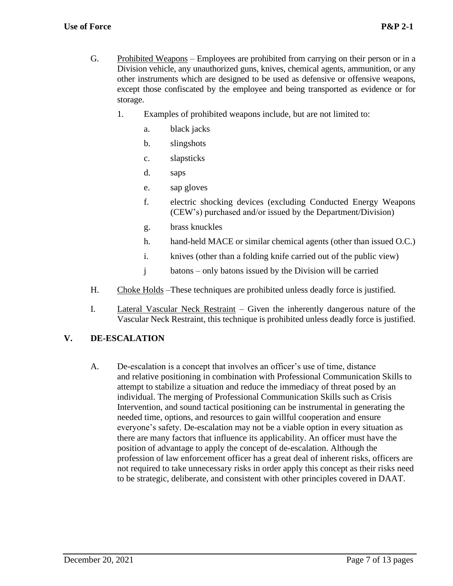- G. Prohibited Weapons Employees are prohibited from carrying on their person or in a Division vehicle, any unauthorized guns, knives, chemical agents, ammunition, or any other instruments which are designed to be used as defensive or offensive weapons, except those confiscated by the employee and being transported as evidence or for storage.
	- 1. Examples of prohibited weapons include, but are not limited to:
		- a. black jacks
		- b. slingshots
		- c. slapsticks
		- d. saps
		- e. sap gloves
		- f. electric shocking devices (excluding Conducted Energy Weapons (CEW's) purchased and/or issued by the Department/Division)
		- g. brass knuckles
		- h. hand-held MACE or similar chemical agents (other than issued O.C.)
		- i. knives (other than a folding knife carried out of the public view)
		- j batons only batons issued by the Division will be carried
- H. Choke Holds –These techniques are prohibited unless deadly force is justified.
- I. Lateral Vascular Neck Restraint Given the inherently dangerous nature of the Vascular Neck Restraint, this technique is prohibited unless deadly force is justified.

#### **V. DE-ESCALATION**

A. De-escalation is a concept that involves an officer's use of time, distance and relative positioning in combination with Professional Communication Skills to attempt to stabilize a situation and reduce the immediacy of threat posed by an individual. The merging of Professional Communication Skills such as Crisis Intervention, and sound tactical positioning can be instrumental in generating the needed time, options, and resources to gain willful cooperation and ensure everyone's safety. De-escalation may not be a viable option in every situation as there are many factors that influence its applicability. An officer must have the position of advantage to apply the concept of de-escalation. Although the profession of law enforcement officer has a great deal of inherent risks, officers are not required to take unnecessary risks in order apply this concept as their risks need to be strategic, deliberate, and consistent with other principles covered in DAAT.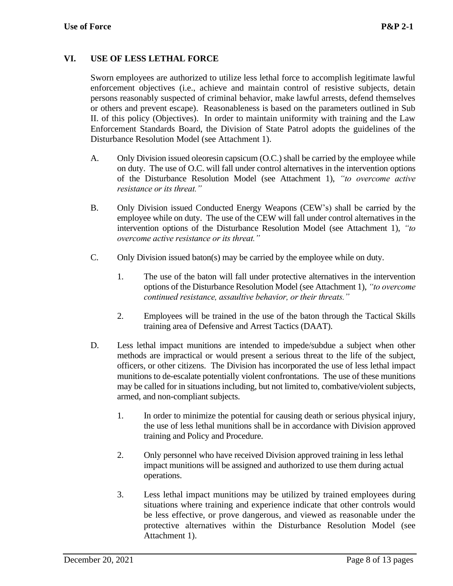## **VI. USE OF LESS LETHAL FORCE**

Sworn employees are authorized to utilize less lethal force to accomplish legitimate lawful enforcement objectives (i.e., achieve and maintain control of resistive subjects, detain persons reasonably suspected of criminal behavior, make lawful arrests, defend themselves or others and prevent escape). Reasonableness is based on the parameters outlined in Sub II. of this policy (Objectives). In order to maintain uniformity with training and the Law Enforcement Standards Board, the Division of State Patrol adopts the guidelines of the Disturbance Resolution Model (see Attachment 1).

- A. Only Division issued oleoresin capsicum (O.C.) shall be carried by the employee while on duty. The use of O.C. will fall under control alternatives in the intervention options of the Disturbance Resolution Model (see Attachment 1), *"to overcome active resistance or its threat."*
- B. Only Division issued Conducted Energy Weapons (CEW's) shall be carried by the employee while on duty. The use of the CEW will fall under control alternatives in the intervention options of the Disturbance Resolution Model (see Attachment 1), *"to overcome active resistance or its threat."*
- C. Only Division issued baton(s) may be carried by the employee while on duty.
	- 1. The use of the baton will fall under protective alternatives in the intervention options of the Disturbance Resolution Model (see Attachment 1), *"to overcome continued resistance, assaultive behavior, or their threats."*
	- 2. Employees will be trained in the use of the baton through the Tactical Skills training area of Defensive and Arrest Tactics (DAAT).
- D. Less lethal impact munitions are intended to impede/subdue a subject when other methods are impractical or would present a serious threat to the life of the subject, officers, or other citizens. The Division has incorporated the use of less lethal impact munitions to de-escalate potentially violent confrontations. The use of these munitions may be called for in situations including, but not limited to, combative/violent subjects, armed, and non-compliant subjects.
	- 1. In order to minimize the potential for causing death or serious physical injury, the use of less lethal munitions shall be in accordance with Division approved training and Policy and Procedure.
	- 2. Only personnel who have received Division approved training in less lethal impact munitions will be assigned and authorized to use them during actual operations.
	- 3. Less lethal impact munitions may be utilized by trained employees during situations where training and experience indicate that other controls would be less effective, or prove dangerous, and viewed as reasonable under the protective alternatives within the Disturbance Resolution Model (see Attachment 1).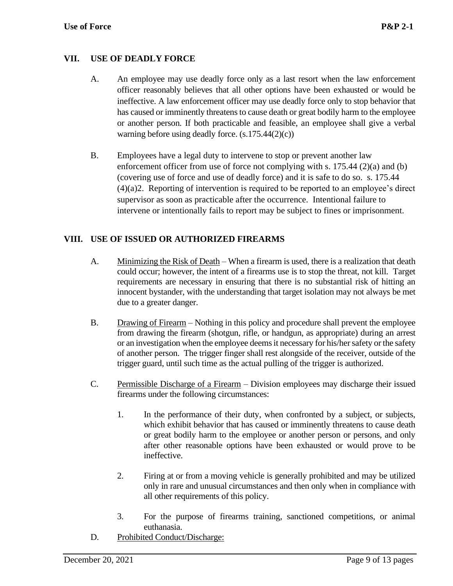## **VII. USE OF DEADLY FORCE**

- A. An employee may use deadly force only as a last resort when the law enforcement officer reasonably believes that all other options have been exhausted or would be ineffective. A law enforcement officer may use deadly force only to stop behavior that has caused or imminently threatens to cause death or great bodily harm to the employee or another person. If both practicable and feasible, an employee shall give a verbal warning before using deadly force. (s.175.44(2)(c))
- B. Employees have a legal duty to intervene to stop or prevent another law enforcement officer from use of force not complying with s. 175.44 (2)(a) and (b) (covering use of force and use of deadly force) and it is safe to do so. s. 175.44 (4)(a)2. Reporting of intervention is required to be reported to an employee's direct supervisor as soon as practicable after the occurrence. Intentional failure to intervene or intentionally fails to report may be subject to fines or imprisonment.

#### **VIII. USE OF ISSUED OR AUTHORIZED FIREARMS**

- A. Minimizing the Risk of Death When a firearm is used, there is a realization that death could occur; however, the intent of a firearms use is to stop the threat, not kill. Target requirements are necessary in ensuring that there is no substantial risk of hitting an innocent bystander, with the understanding that target isolation may not always be met due to a greater danger.
- B. Drawing of Firearm Nothing in this policy and procedure shall prevent the employee from drawing the firearm (shotgun, rifle, or handgun, as appropriate) during an arrest or an investigation when the employee deems it necessary for his/her safety or the safety of another person. The trigger finger shall rest alongside of the receiver, outside of the trigger guard, until such time as the actual pulling of the trigger is authorized.
- C. Permissible Discharge of a Firearm Division employees may discharge their issued firearms under the following circumstances:
	- 1. In the performance of their duty, when confronted by a subject, or subjects, which exhibit behavior that has caused or imminently threatens to cause death or great bodily harm to the employee or another person or persons, and only after other reasonable options have been exhausted or would prove to be ineffective.
	- 2. Firing at or from a moving vehicle is generally prohibited and may be utilized only in rare and unusual circumstances and then only when in compliance with all other requirements of this policy.
	- 3. For the purpose of firearms training, sanctioned competitions, or animal euthanasia.
- D. Prohibited Conduct/Discharge: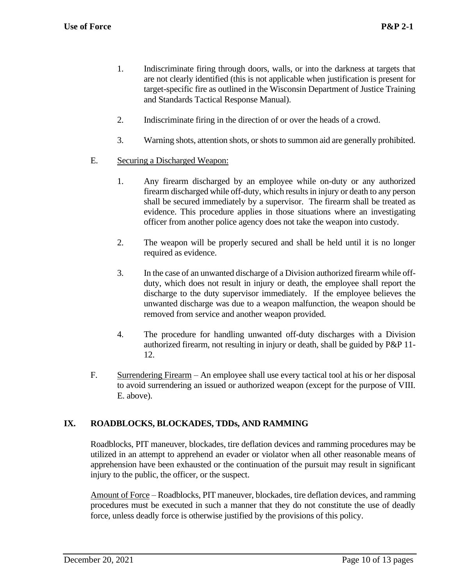- 1. Indiscriminate firing through doors, walls, or into the darkness at targets that are not clearly identified (this is not applicable when justification is present for target-specific fire as outlined in the Wisconsin Department of Justice Training and Standards Tactical Response Manual).
- 2. Indiscriminate firing in the direction of or over the heads of a crowd.
- 3. Warning shots, attention shots, or shots to summon aid are generally prohibited.
- E. Securing a Discharged Weapon:
	- 1. Any firearm discharged by an employee while on-duty or any authorized firearm discharged while off-duty, which results in injury or death to any person shall be secured immediately by a supervisor. The firearm shall be treated as evidence. This procedure applies in those situations where an investigating officer from another police agency does not take the weapon into custody.
	- 2. The weapon will be properly secured and shall be held until it is no longer required as evidence.
	- 3. In the case of an unwanted discharge of a Division authorized firearm while offduty, which does not result in injury or death, the employee shall report the discharge to the duty supervisor immediately. If the employee believes the unwanted discharge was due to a weapon malfunction, the weapon should be removed from service and another weapon provided.
	- 4. The procedure for handling unwanted off-duty discharges with a Division authorized firearm, not resulting in injury or death, shall be guided by P&P 11- 12.
- F. Surrendering Firearm An employee shall use every tactical tool at his or her disposal to avoid surrendering an issued or authorized weapon (except for the purpose of VIII. E. above).

## **IX. ROADBLOCKS, BLOCKADES, TDDs, AND RAMMING**

Roadblocks, PIT maneuver, blockades, tire deflation devices and ramming procedures may be utilized in an attempt to apprehend an evader or violator when all other reasonable means of apprehension have been exhausted or the continuation of the pursuit may result in significant injury to the public, the officer, or the suspect.

Amount of Force – Roadblocks, PIT maneuver, blockades, tire deflation devices, and ramming procedures must be executed in such a manner that they do not constitute the use of deadly force, unless deadly force is otherwise justified by the provisions of this policy.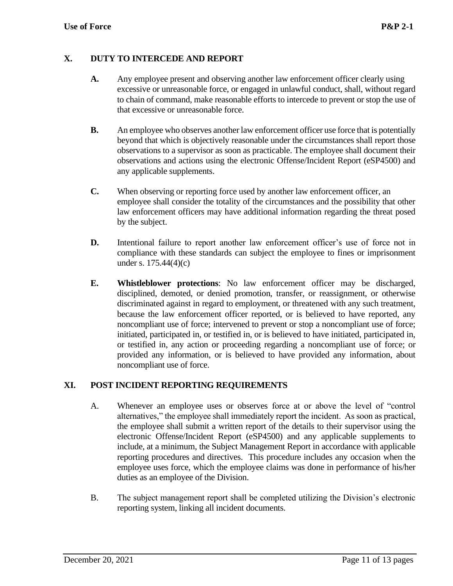#### **X. DUTY TO INTERCEDE AND REPORT**

- **A.** Any employee present and observing another law enforcement officer clearly using excessive or unreasonable force, or engaged in unlawful conduct, shall, without regard to chain of command, make reasonable efforts to intercede to prevent or stop the use of that excessive or unreasonable force.
- **B.** An employee who observes another law enforcement officer use force that is potentially beyond that which is objectively reasonable under the circumstances shall report those observations to a supervisor as soon as practicable. The employee shall document their observations and actions using the electronic Offense/Incident Report (eSP4500) and any applicable supplements.
- **C.** When observing or reporting force used by another law enforcement officer, an employee shall consider the totality of the circumstances and the possibility that other law enforcement officers may have additional information regarding the threat posed by the subject.
- **D.** Intentional failure to report another law enforcement officer's use of force not in compliance with these standards can subject the employee to fines or imprisonment under s. 175.44(4)(c)
- **E. Whistleblower protections**: No law enforcement officer may be discharged, disciplined, demoted, or denied promotion, transfer, or reassignment, or otherwise discriminated against in regard to employment, or threatened with any such treatment, because the law enforcement officer reported, or is believed to have reported, any noncompliant use of force; intervened to prevent or stop a noncompliant use of force; initiated, participated in, or testified in, or is believed to have initiated, participated in, or testified in, any action or proceeding regarding a noncompliant use of force; or provided any information, or is believed to have provided any information, about noncompliant use of force.

## **XI. POST INCIDENT REPORTING REQUIREMENTS**

- A. Whenever an employee uses or observes force at or above the level of "control alternatives," the employee shall immediately report the incident. As soon as practical, the employee shall submit a written report of the details to their supervisor using the electronic Offense/Incident Report (eSP4500) and any applicable supplements to include, at a minimum, the Subject Management Report in accordance with applicable reporting procedures and directives. This procedure includes any occasion when the employee uses force, which the employee claims was done in performance of his/her duties as an employee of the Division.
- B. The subject management report shall be completed utilizing the Division's electronic reporting system, linking all incident documents.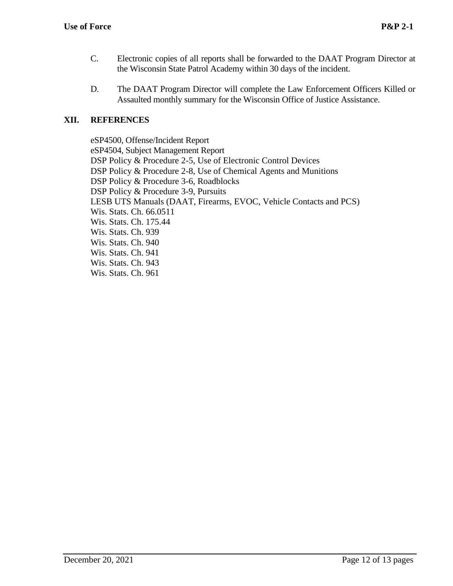- C. Electronic copies of all reports shall be forwarded to the DAAT Program Director at the Wisconsin State Patrol Academy within 30 days of the incident.
- D. The DAAT Program Director will complete the Law Enforcement Officers Killed or Assaulted monthly summary for the Wisconsin Office of Justice Assistance.

## **XII. REFERENCES**

eSP4500, Offense/Incident Report eSP4504, Subject Management Report DSP Policy & Procedure 2-5, Use of Electronic Control Devices DSP Policy & Procedure 2-8, Use of Chemical Agents and Munitions DSP Policy & Procedure 3-6, Roadblocks DSP Policy & Procedure 3-9, Pursuits LESB UTS Manuals (DAAT, Firearms, EVOC, Vehicle Contacts and PCS) Wis. Stats. Ch. 66.0511 Wis. Stats. Ch. 175.44 Wis. Stats. Ch. 939 Wis. Stats. Ch. 940 Wis. Stats. Ch. 941 Wis. Stats. Ch. 943 Wis. Stats. Ch. 961